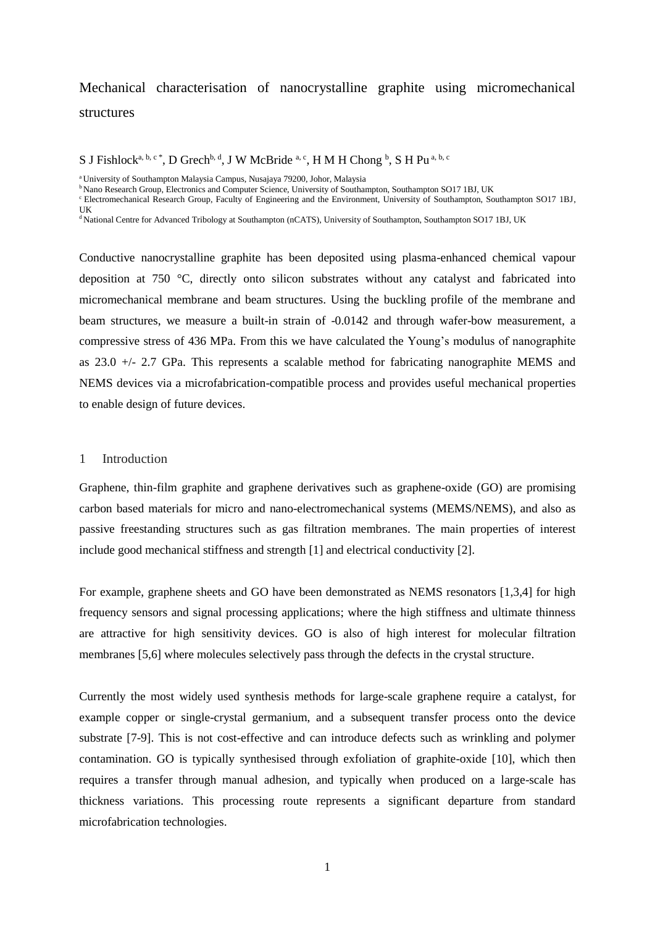# Mechanical characterisation of nanocrystalline graphite using micromechanical structures

S J Fishlock<sup>a, b, c\*</sup>, D Grech<sup>b, d</sup>, J W McBride<sup>a, c</sup>, H M H Chong <sup>b</sup>, S H Pu<sup>a, b, c</sup>

<sup>a</sup> University of Southampton Malaysia Campus, Nusajaya 79200, Johor, Malaysia

<sup>b</sup> Nano Research Group, Electronics and Computer Science, University of Southampton, Southampton SO17 1BJ, UK

cElectromechanical Research Group, Faculty of Engineering and the Environment, University of Southampton, Southampton SO17 1BJ, UK

<sup>d</sup>National Centre for Advanced Tribology at Southampton (nCATS), University of Southampton, Southampton SO17 1BJ, UK

Conductive nanocrystalline graphite has been deposited using plasma-enhanced chemical vapour deposition at 750 °C, directly onto silicon substrates without any catalyst and fabricated into micromechanical membrane and beam structures. Using the buckling profile of the membrane and beam structures, we measure a built-in strain of -0.0142 and through wafer-bow measurement, a compressive stress of 436 MPa. From this we have calculated the Young's modulus of nanographite as 23.0 +/- 2.7 GPa. This represents a scalable method for fabricating nanographite MEMS and NEMS devices via a microfabrication-compatible process and provides useful mechanical properties to enable design of future devices.

#### 1 Introduction

Graphene, thin-film graphite and graphene derivatives such as graphene-oxide (GO) are promising carbon based materials for micro and nano-electromechanical systems (MEMS/NEMS), and also as passive freestanding structures such as gas filtration membranes. The main properties of interest include good mechanical stiffness and strength [1] and electrical conductivity [2].

For example, graphene sheets and GO have been demonstrated as NEMS resonators [1,3,4] for high frequency sensors and signal processing applications; where the high stiffness and ultimate thinness are attractive for high sensitivity devices. GO is also of high interest for molecular filtration membranes [5,6] where molecules selectively pass through the defects in the crystal structure.

Currently the most widely used synthesis methods for large-scale graphene require a catalyst, for example copper or single-crystal germanium, and a subsequent transfer process onto the device substrate [7-9]. This is not cost-effective and can introduce defects such as wrinkling and polymer contamination. GO is typically synthesised through exfoliation of graphite-oxide [10], which then requires a transfer through manual adhesion, and typically when produced on a large-scale has thickness variations. This processing route represents a significant departure from standard microfabrication technologies.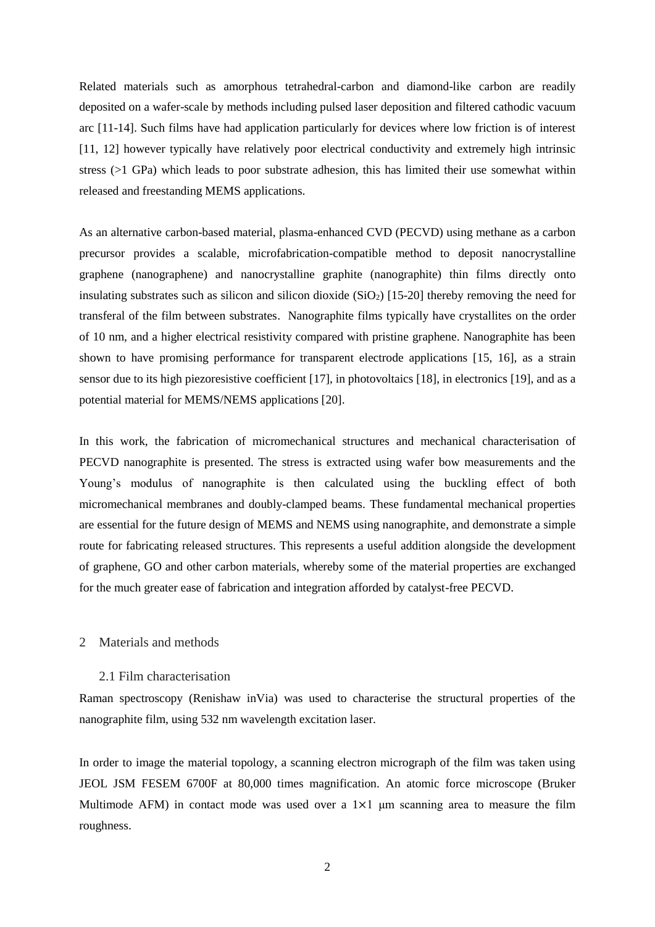Related materials such as amorphous tetrahedral-carbon and diamond-like carbon are readily deposited on a wafer-scale by methods including pulsed laser deposition and filtered cathodic vacuum arc [11-14]. Such films have had application particularly for devices where low friction is of interest [11, 12] however typically have relatively poor electrical conductivity and extremely high intrinsic stress (>1 GPa) which leads to poor substrate adhesion, this has limited their use somewhat within released and freestanding MEMS applications.

As an alternative carbon-based material, plasma-enhanced CVD (PECVD) using methane as a carbon precursor provides a scalable, microfabrication-compatible method to deposit nanocrystalline graphene (nanographene) and nanocrystalline graphite (nanographite) thin films directly onto insulating substrates such as silicon and silicon dioxide  $(SiO<sub>2</sub>)$  [15-20] thereby removing the need for transferal of the film between substrates. Nanographite films typically have crystallites on the order of 10 nm, and a higher electrical resistivity compared with pristine graphene. Nanographite has been shown to have promising performance for transparent electrode applications [15, 16], as a strain sensor due to its high piezoresistive coefficient [17], in photovoltaics [18], in electronics [19], and as a potential material for MEMS/NEMS applications [20].

In this work, the fabrication of micromechanical structures and mechanical characterisation of PECVD nanographite is presented. The stress is extracted using wafer bow measurements and the Young's modulus of nanographite is then calculated using the buckling effect of both micromechanical membranes and doubly-clamped beams. These fundamental mechanical properties are essential for the future design of MEMS and NEMS using nanographite, and demonstrate a simple route for fabricating released structures. This represents a useful addition alongside the development of graphene, GO and other carbon materials, whereby some of the material properties are exchanged for the much greater ease of fabrication and integration afforded by catalyst-free PECVD.

# 2 Materials and methods

#### 2.1 Film characterisation

Raman spectroscopy (Renishaw inVia) was used to characterise the structural properties of the nanographite film, using 532 nm wavelength excitation laser.

In order to image the material topology, a scanning electron micrograph of the film was taken using JEOL JSM FESEM 6700F at 80,000 times magnification. An atomic force microscope (Bruker Multimode AFM) in contact mode was used over a  $1\times1$  µm scanning area to measure the film roughness.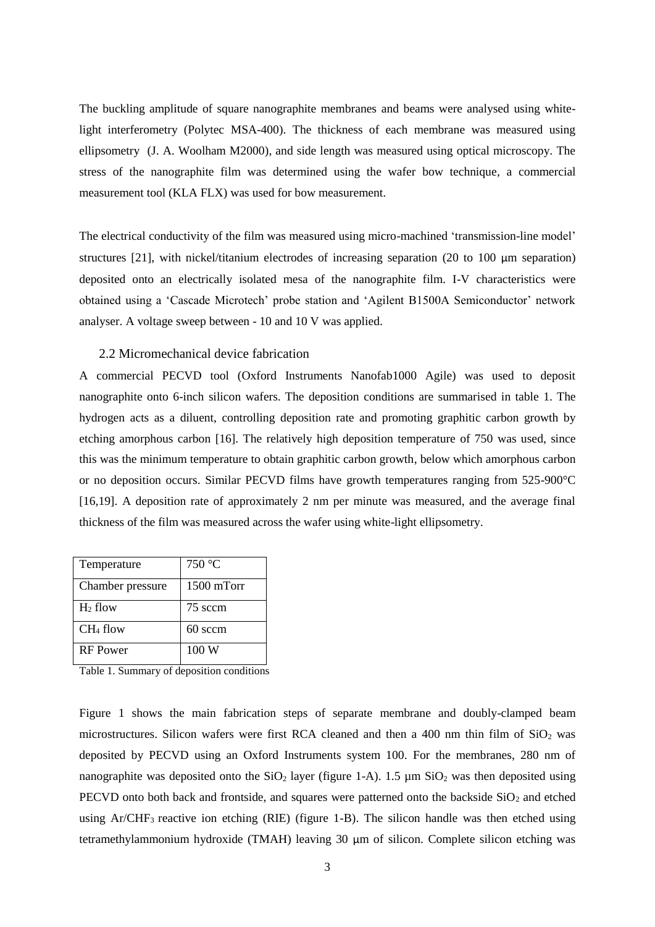The buckling amplitude of square nanographite membranes and beams were analysed using whitelight interferometry (Polytec MSA-400). The thickness of each membrane was measured using ellipsometry (J. A. Woolham M2000), and side length was measured using optical microscopy. The stress of the nanographite film was determined using the wafer bow technique, a commercial measurement tool (KLA FLX) was used for bow measurement.

The electrical conductivity of the film was measured using micro-machined 'transmission-line model' structures [21], with nickel/titanium electrodes of increasing separation (20 to 100  $\mu$ m separation) deposited onto an electrically isolated mesa of the nanographite film. I-V characteristics were obtained using a 'Cascade Microtech' probe station and 'Agilent B1500A Semiconductor' network analyser. A voltage sweep between - 10 and 10 V was applied.

# 2.2 Micromechanical device fabrication

A commercial PECVD tool (Oxford Instruments Nanofab1000 Agile) was used to deposit nanographite onto 6-inch silicon wafers. The deposition conditions are summarised in table 1. The hydrogen acts as a diluent, controlling deposition rate and promoting graphitic carbon growth by etching amorphous carbon [16]. The relatively high deposition temperature of 750 was used, since this was the minimum temperature to obtain graphitic carbon growth, below which amorphous carbon or no deposition occurs. Similar PECVD films have growth temperatures ranging from 525-900°C [16,19]. A deposition rate of approximately 2 nm per minute was measured, and the average final thickness of the film was measured across the wafer using white-light ellipsometry.

| Temperature      | 750 °C     |
|------------------|------------|
| Chamber pressure | 1500 mTorr |
| $H_2$ flow       | 75 sccm    |
| $CH4$ flow       | 60 sccm    |
| <b>RF</b> Power  | 100 W      |

Table 1. Summary of deposition conditions

Figure 1 shows the main fabrication steps of separate membrane and doubly-clamped beam microstructures. Silicon wafers were first RCA cleaned and then a 400 nm thin film of  $SiO<sub>2</sub>$  was deposited by PECVD using an Oxford Instruments system 100. For the membranes, 280 nm of nanographite was deposited onto the  $SiO<sub>2</sub>$  layer (figure 1-A). 1.5  $\mu$ m  $SiO<sub>2</sub>$  was then deposited using PECVD onto both back and frontside, and squares were patterned onto the backside  $SiO<sub>2</sub>$  and etched using Ar/CHF<sup>3</sup> reactive ion etching (RIE) (figure 1-B). The silicon handle was then etched using tetramethylammonium hydroxide (TMAH) leaving 30 μm of silicon. Complete silicon etching was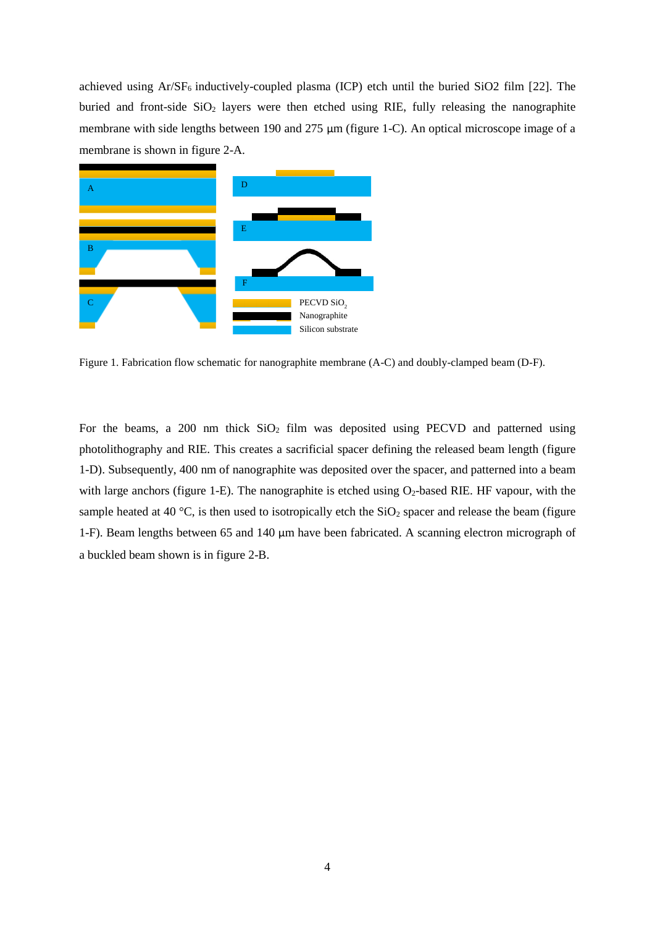achieved using  $Ar/SF_6$  inductively-coupled plasma (ICP) etch until the buried SiO2 film [22]. The buried and front-side  $SiO<sub>2</sub>$  layers were then etched using RIE, fully releasing the nanographite membrane with side lengths between 190 and 275 μm (figure 1-C). An optical microscope image of a membrane is shown in figure 2-A.



Figure 1. Fabrication flow schematic for nanographite membrane (A-C) and doubly-clamped beam (D-F).

For the beams, a 200 nm thick  $SiO_2$  film was deposited using PECVD and patterned using photolithography and RIE. This creates a sacrificial spacer defining the released beam length (figure 1-D). Subsequently, 400 nm of nanographite was deposited over the spacer, and patterned into a beam with large anchors (figure 1-E). The nanographite is etched using  $O_2$ -based RIE. HF vapour, with the sample heated at 40 °C, is then used to isotropically etch the  $SiO<sub>2</sub>$  spacer and release the beam (figure 1-F). Beam lengths between 65 and 140 μm have been fabricated. A scanning electron micrograph of a buckled beam shown is in figure 2-B.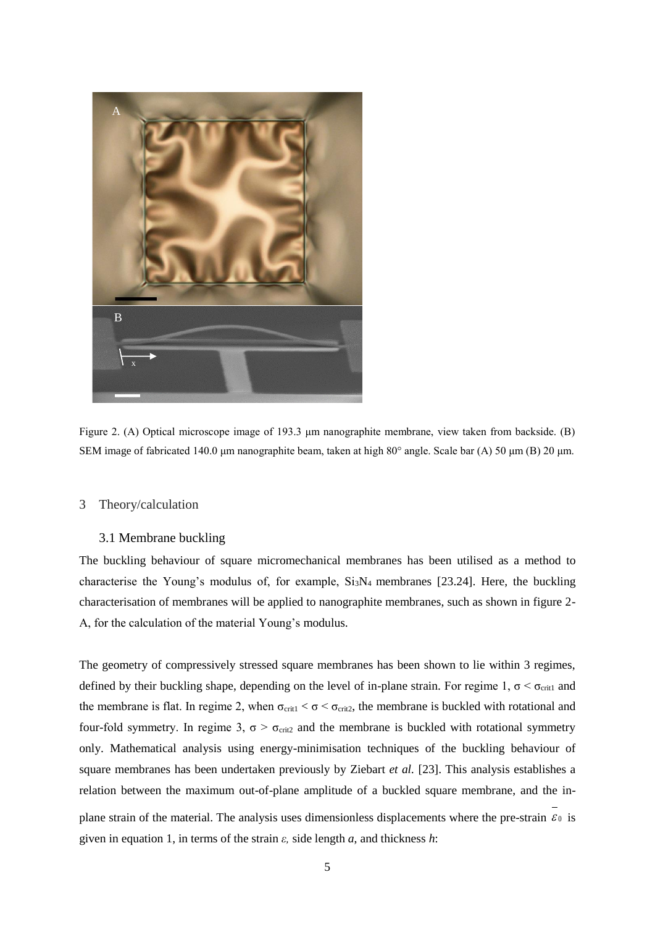

Figure 2. (A) Optical microscope image of 193.3 μm nanographite membrane, view taken from backside. (B) SEM image of fabricated 140.0 μm nanographite beam, taken at high 80° angle. Scale bar (A) 50 μm (B) 20 μm.

#### 3 Theory/calculation

## 3.1 Membrane buckling

The buckling behaviour of square micromechanical membranes has been utilised as a method to characterise the Young's modulus of, for example,  $Si<sub>3</sub>N<sub>4</sub>$  membranes [23.24]. Here, the buckling characterisation of membranes will be applied to nanographite membranes, such as shown in figure 2- A, for the calculation of the material Young's modulus.

The geometry of compressively stressed square membranes has been shown to lie within 3 regimes, defined by their buckling shape, depending on the level of in-plane strain. For regime 1,  $\sigma < \sigma_{\text{crit}}$  and the membrane is flat. In regime 2, when  $\sigma_{\text{crit}} < \sigma < \sigma_{\text{crit2}}$ , the membrane is buckled with rotational and four-fold symmetry. In regime 3,  $\sigma > \sigma_{crit2}$  and the membrane is buckled with rotational symmetry only. Mathematical analysis using energy-minimisation techniques of the buckling behaviour of square membranes has been undertaken previously by Ziebart *et al.* [23]. This analysis establishes a relation between the maximum out-of-plane amplitude of a buckled square membrane, and the inplane strain of the material. The analysis uses dimensionless displacements where the pre-strain  $\varepsilon_0$  is given in equation 1, in terms of the strain *ε,* side length *a*, and thickness *h*: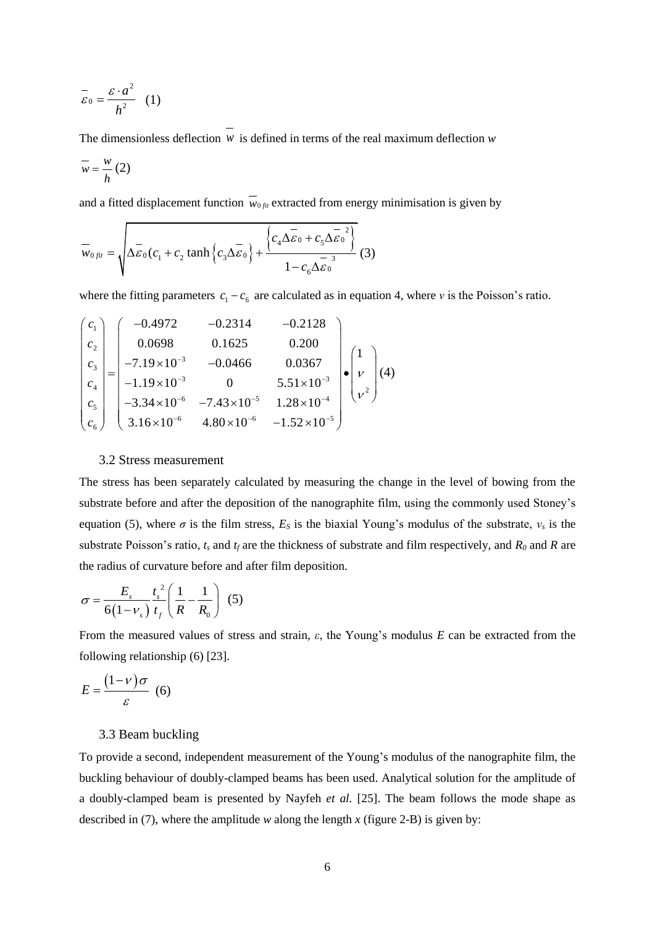$$
\overline{\varepsilon}_0 = \frac{\varepsilon \cdot a^2}{h^2} \quad (1)
$$

The dimensionless deflection  $w$  is defined in terms of the real maximum deflection  $w$ 

$$
\overline{w} = \frac{w}{h} (2)
$$

and a fitted displacement function  $w_{0, fit}$  extracted from energy minimisation is given by

$$
\overline{w}_{0\,fit}} = \sqrt{\Delta \overline{\varepsilon}_0 (c_1 + c_2 \tanh \left\{ c_3 \Delta \overline{\varepsilon}_0 \right\} + \frac{\left\{ c_4 \Delta \overline{\varepsilon}_0 + c_5 \Delta \overline{\varepsilon}_0^2 \right\}}{1 - c_6 \Delta \overline{\varepsilon}_0}} \tag{3}
$$

where the fitting parameters 
$$
c_1 - c_6
$$
 are calculated as in equation 4, where v is the Poisson's ratio.  
\n
$$
\begin{pmatrix} c_1 \ c_2 \ c_3 \ c_4 \ c_5 \ c_6 \end{pmatrix} = \begin{pmatrix} -0.4972 & -0.2314 & -0.2128 \\ 0.0698 & 0.1625 & 0.200 \\ -7.19 \times 10^{-3} & -0.0466 & 0.0367 \\ -1.19 \times 10^{-3} & 0 & 5.51 \times 10^{-3} \\ -3.34 \times 10^{-6} & -7.43 \times 10^{-5} & 1.28 \times 10^{-4} \\ 3.16 \times 10^{-6} & 4.80 \times 10^{-6} & -1.52 \times 10^{-5} \end{pmatrix} \cdot \begin{pmatrix} 1 \\ v \\ v^2 \end{pmatrix} (4)
$$

#### 3.2 Stress measurement

The stress has been separately calculated by measuring the change in the level of bowing from the substrate before and after the deposition of the nanographite film, using the commonly used Stoney's equation (5), where  $\sigma$  is the film stress,  $E_s$  is the biaxial Young's modulus of the substrate,  $v_s$  is the substrate Poisson's ratio, *t<sup>s</sup>* and *t<sup>f</sup>* are the thickness of substrate and film respectively, and *R<sup>0</sup>* and *R* are the radius of curvature before and after film deposition.

$$
\sigma = \frac{E_s}{6(1 - v_s)} \frac{t_s^2}{t_f} \left( \frac{1}{R} - \frac{1}{R_0} \right) (5)
$$

From the measured values of stress and strain, *ε*, the Young's modulus *E* can be extracted from the following relationship (6) [23].

$$
E = \frac{(1 - v)\sigma}{\varepsilon} \tag{6}
$$

## 3.3 Beam buckling

To provide a second, independent measurement of the Young's modulus of the nanographite film, the buckling behaviour of doubly-clamped beams has been used. Analytical solution for the amplitude of a doubly-clamped beam is presented by Nayfeh *et al.* [25]. The beam follows the mode shape as described in (7), where the amplitude *w* along the length *x* (figure 2-B) is given by: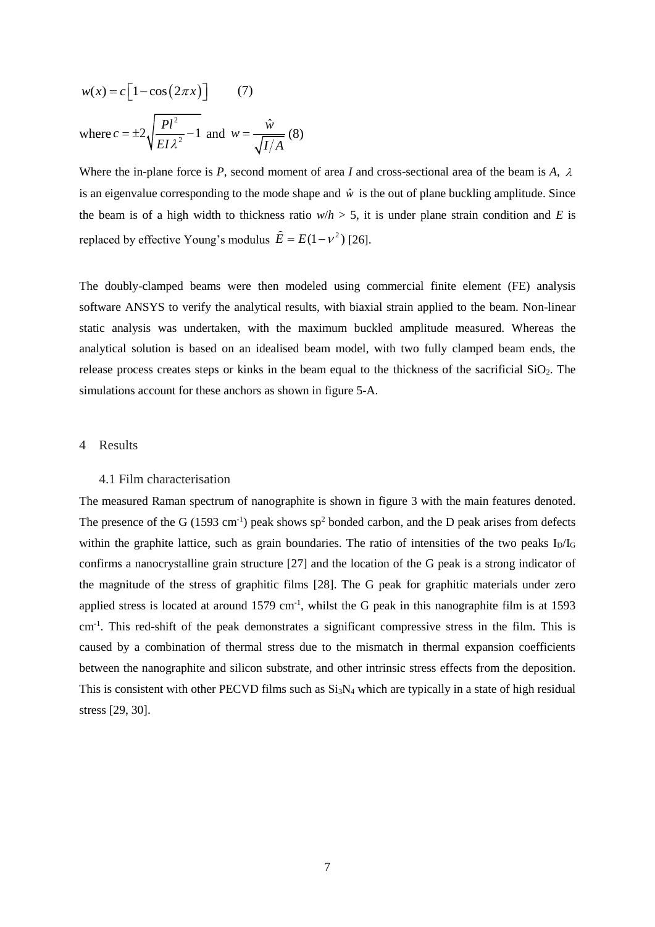$$
w(x) = c \left[ 1 - \cos(2\pi x) \right]
$$
 (7)  
where  $c = \pm 2 \sqrt{\frac{Pl^2}{EI \lambda^2} - 1}$  and  $w = \frac{\hat{w}}{\sqrt{I/A}}$  (8)

Where the in-plane force is P, second moment of area I and cross-sectional area of the beam is  $A$ ,  $\lambda$ is an eigenvalue corresponding to the mode shape and  $\hat{w}$  is the out of plane buckling amplitude. Since the beam is of a high width to thickness ratio  $w/h > 5$ , it is under plane strain condition and *E* is replaced by effective Young's modulus  $\hat{E} = E(1 - v^2)$  [26].

The doubly-clamped beams were then modeled using commercial finite element (FE) analysis software ANSYS to verify the analytical results, with biaxial strain applied to the beam. Non-linear static analysis was undertaken, with the maximum buckled amplitude measured. Whereas the analytical solution is based on an idealised beam model, with two fully clamped beam ends, the release process creates steps or kinks in the beam equal to the thickness of the sacrificial  $SiO<sub>2</sub>$ . The simulations account for these anchors as shown in figure 5-A.

## 4 Results

#### 4.1 Film characterisation

The measured Raman spectrum of nanographite is shown in figure 3 with the main features denoted. The presence of the G (1593 cm<sup>-1</sup>) peak shows  $sp^2$  bonded carbon, and the D peak arises from defects within the graphite lattice, such as grain boundaries. The ratio of intensities of the two peaks  $I_D/I_G$ confirms a nanocrystalline grain structure [27] and the location of the G peak is a strong indicator of the magnitude of the stress of graphitic films [28]. The G peak for graphitic materials under zero applied stress is located at around  $1579 \text{ cm}^{-1}$ , whilst the G peak in this nanographite film is at 1593 cm<sup>-1</sup>. This red-shift of the peak demonstrates a significant compressive stress in the film. This is caused by a combination of thermal stress due to the mismatch in thermal expansion coefficients between the nanographite and silicon substrate, and other intrinsic stress effects from the deposition. This is consistent with other PECVD films such as  $Si<sub>3</sub>N<sub>4</sub>$  which are typically in a state of high residual stress [29, 30].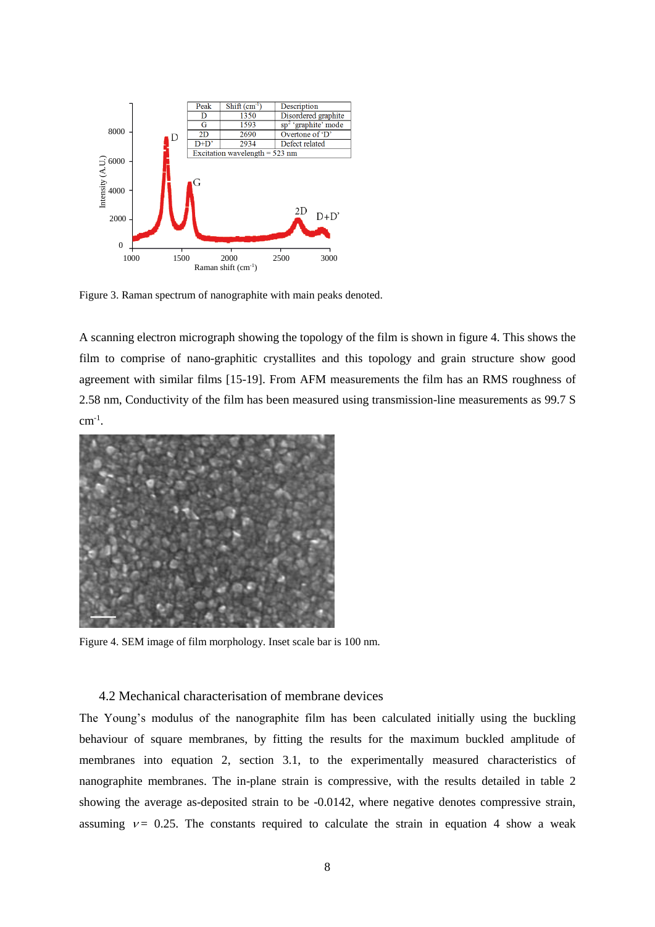

Figure 3. Raman spectrum of nanographite with main peaks denoted.

A scanning electron micrograph showing the topology of the film is shown in figure 4. This shows the film to comprise of nano-graphitic crystallites and this topology and grain structure show good agreement with similar films [15-19]. From AFM measurements the film has an RMS roughness of 2.58 nm, Conductivity of the film has been measured using transmission-line measurements as 99.7 S  $cm^{-1}$ .



Figure 4. SEM image of film morphology. Inset scale bar is 100 nm.

## 4.2 Mechanical characterisation of membrane devices

The Young's modulus of the nanographite film has been calculated initially using the buckling behaviour of square membranes, by fitting the results for the maximum buckled amplitude of membranes into equation 2, section 3.1, to the experimentally measured characteristics of nanographite membranes. The in-plane strain is compressive, with the results detailed in table 2 showing the average as-deposited strain to be -0.0142, where negative denotes compressive strain, assuming  $v = 0.25$ . The constants required to calculate the strain in equation 4 show a weak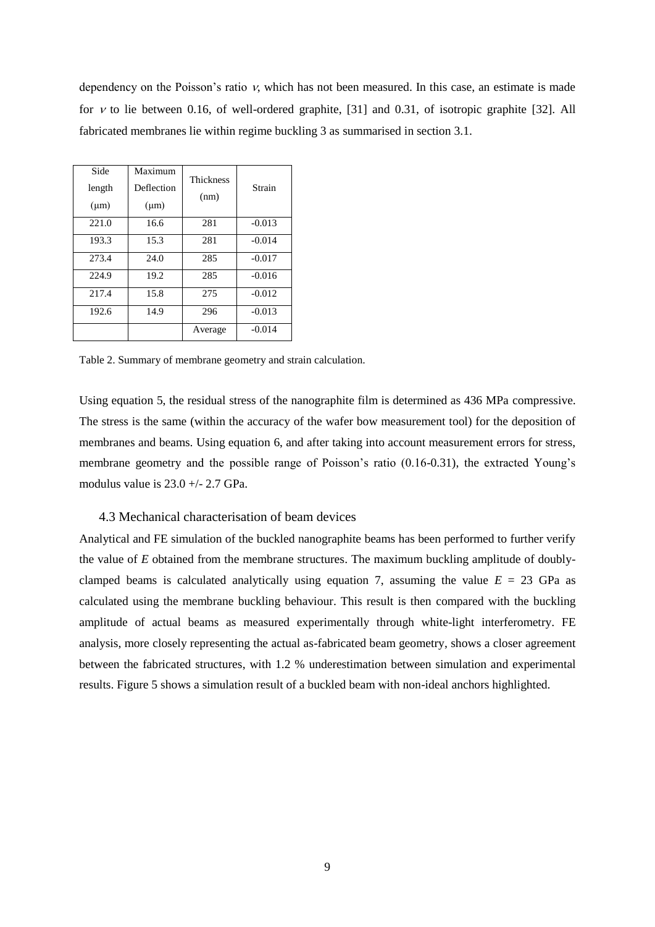dependency on the Poisson's ratio  $v$ , which has not been measured. In this case, an estimate is made for  $v$  to lie between 0.16, of well-ordered graphite, [31] and 0.31, of isotropic graphite [32]. All fabricated membranes lie within regime buckling 3 as summarised in section 3.1.

| Side<br>length<br>$(\mu m)$ | Maximum<br>Deflection<br>$(\mu m)$ | <b>Thickness</b><br>(nm) | Strain   |
|-----------------------------|------------------------------------|--------------------------|----------|
| 221.0                       | 16.6                               | 281                      | $-0.013$ |
| 193.3                       | 15.3                               | 281                      | $-0.014$ |
| 273.4                       | 24.0                               | 285                      | $-0.017$ |
| 224.9                       | 19.2                               | 285                      | $-0.016$ |
| 217.4                       | 15.8                               | 275                      | $-0.012$ |
| 192.6                       | 14.9                               | 296                      | $-0.013$ |
|                             |                                    | Average                  | $-0.014$ |

Table 2. Summary of membrane geometry and strain calculation.

Using equation 5, the residual stress of the nanographite film is determined as 436 MPa compressive. The stress is the same (within the accuracy of the wafer bow measurement tool) for the deposition of membranes and beams. Using equation 6, and after taking into account measurement errors for stress, membrane geometry and the possible range of Poisson's ratio (0.16-0.31), the extracted Young's modulus value is  $23.0 +/- 2.7$  GPa.

## 4.3 Mechanical characterisation of beam devices

Analytical and FE simulation of the buckled nanographite beams has been performed to further verify the value of *E* obtained from the membrane structures. The maximum buckling amplitude of doublyclamped beams is calculated analytically using equation 7, assuming the value  $E = 23$  GPa as calculated using the membrane buckling behaviour. This result is then compared with the buckling amplitude of actual beams as measured experimentally through white-light interferometry. FE analysis, more closely representing the actual as-fabricated beam geometry, shows a closer agreement between the fabricated structures, with 1.2 % underestimation between simulation and experimental results. Figure 5 shows a simulation result of a buckled beam with non-ideal anchors highlighted.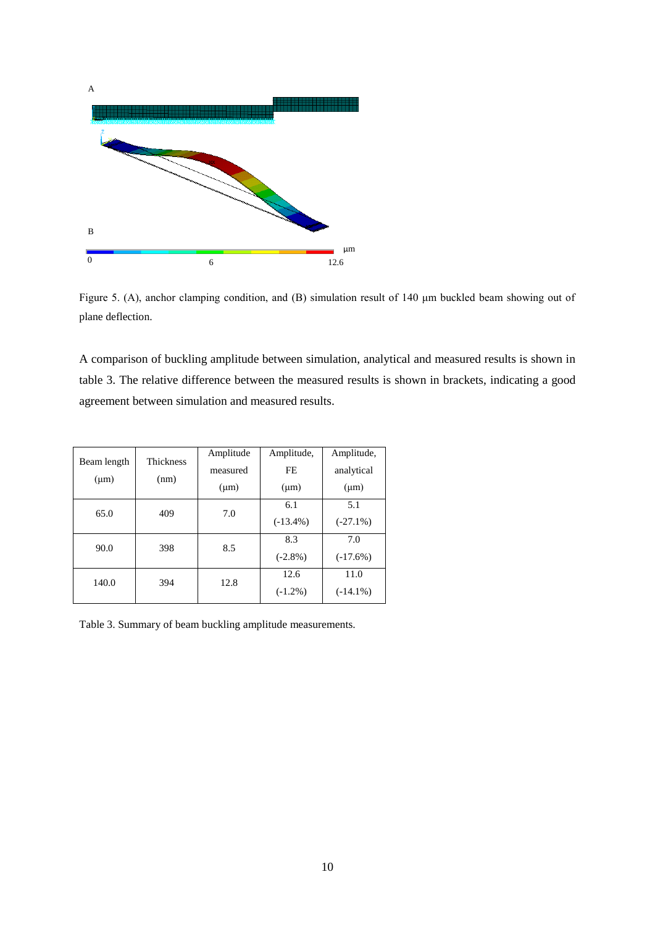

Figure 5. (A), anchor clamping condition, and (B) simulation result of 140 μm buckled beam showing out of plane deflection.

A comparison of buckling amplitude between simulation, analytical and measured results is shown in table 3. The relative difference between the measured results is shown in brackets, indicating a good agreement between simulation and measured results.

| <b>Thickness</b><br>Beam length |      | Amplitude | Amplitude,  | Amplitude,  |
|---------------------------------|------|-----------|-------------|-------------|
|                                 |      | measured  | FE.         | analytical  |
| $(\mu m)$                       | (nm) | $(\mu m)$ | $(\mu m)$   | $(\mu m)$   |
| 65.0                            | 409  | 7.0       | 6.1         | 5.1         |
|                                 |      |           | $(-13.4\%)$ | $(-27.1\%)$ |
| 90.0                            | 398  | 8.5       | 8.3         | 7.0         |
|                                 |      |           | $(-2.8\%)$  | $(-17.6%)$  |
| 140.0                           | 394  | 12.8      | 12.6        | 11.0        |
|                                 |      |           | $(-1.2\%)$  | $(-14.1\%)$ |

Table 3. Summary of beam buckling amplitude measurements.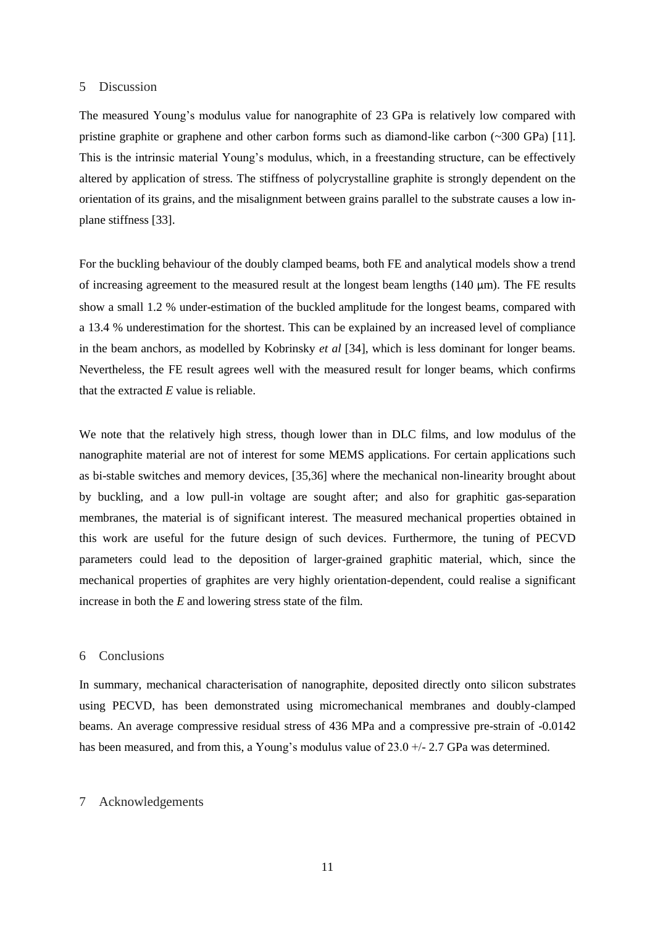#### 5 Discussion

The measured Young's modulus value for nanographite of 23 GPa is relatively low compared with pristine graphite or graphene and other carbon forms such as diamond-like carbon (~300 GPa) [11]. This is the intrinsic material Young's modulus, which, in a freestanding structure, can be effectively altered by application of stress. The stiffness of polycrystalline graphite is strongly dependent on the orientation of its grains, and the misalignment between grains parallel to the substrate causes a low inplane stiffness [33].

For the buckling behaviour of the doubly clamped beams, both FE and analytical models show a trend of increasing agreement to the measured result at the longest beam lengths (140 μm). The FE results show a small 1.2 % under-estimation of the buckled amplitude for the longest beams, compared with a 13.4 % underestimation for the shortest. This can be explained by an increased level of compliance in the beam anchors, as modelled by Kobrinsky *et al* [34], which is less dominant for longer beams. Nevertheless, the FE result agrees well with the measured result for longer beams, which confirms that the extracted *E* value is reliable.

We note that the relatively high stress, though lower than in DLC films, and low modulus of the nanographite material are not of interest for some MEMS applications. For certain applications such as bi-stable switches and memory devices, [35,36] where the mechanical non-linearity brought about by buckling, and a low pull-in voltage are sought after; and also for graphitic gas-separation membranes, the material is of significant interest. The measured mechanical properties obtained in this work are useful for the future design of such devices. Furthermore, the tuning of PECVD parameters could lead to the deposition of larger-grained graphitic material, which, since the mechanical properties of graphites are very highly orientation-dependent, could realise a significant increase in both the *E* and lowering stress state of the film.

## 6 Conclusions

In summary, mechanical characterisation of nanographite, deposited directly onto silicon substrates using PECVD, has been demonstrated using micromechanical membranes and doubly-clamped beams. An average compressive residual stress of 436 MPa and a compressive pre-strain of -0.0142 has been measured, and from this, a Young's modulus value of 23.0  $+/-$  2.7 GPa was determined.

#### 7 Acknowledgements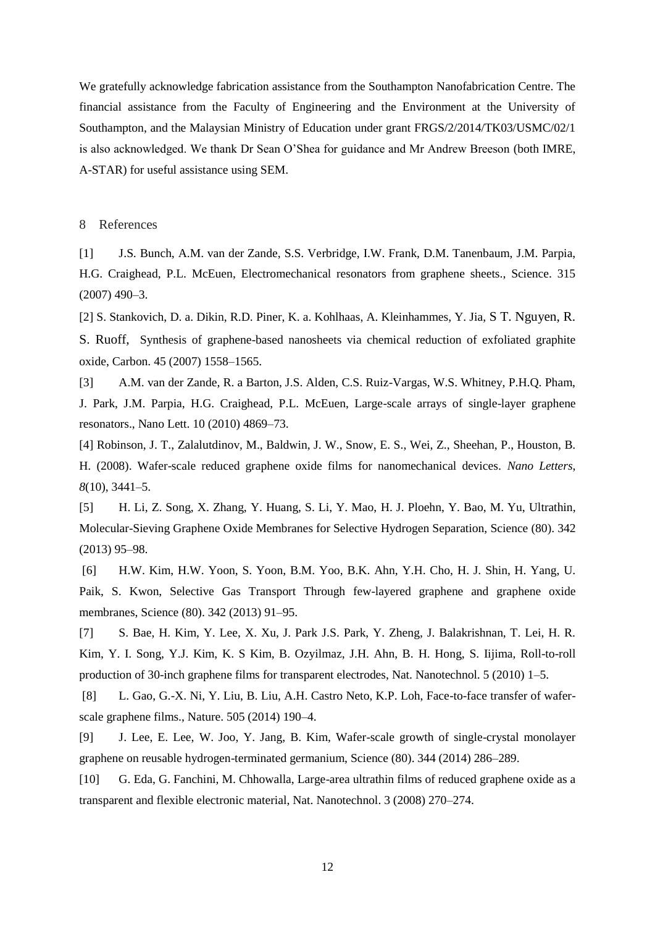We gratefully acknowledge fabrication assistance from the Southampton Nanofabrication Centre. The financial assistance from the Faculty of Engineering and the Environment at the University of Southampton, and the Malaysian Ministry of Education under grant FRGS/2/2014/TK03/USMC/02/1 is also acknowledged. We thank Dr Sean O'Shea for guidance and Mr Andrew Breeson (both IMRE, A-STAR) for useful assistance using SEM.

#### 8 References

[1] J.S. Bunch, A.M. van der Zande, S.S. Verbridge, I.W. Frank, D.M. Tanenbaum, J.M. Parpia, H.G. Craighead, P.L. McEuen, Electromechanical resonators from graphene sheets., Science. 315 (2007) 490–3.

[2] S. Stankovich, D. a. Dikin, R.D. Piner, K. a. Kohlhaas, A. Kleinhammes, Y. Jia, S T. Nguyen, R. S. Ruoff, Synthesis of graphene-based nanosheets via chemical reduction of exfoliated graphite oxide, Carbon. 45 (2007) 1558–1565.

[3] A.M. van der Zande, R. a Barton, J.S. Alden, C.S. Ruiz-Vargas, W.S. Whitney, P.H.Q. Pham, J. Park, J.M. Parpia, H.G. Craighead, P.L. McEuen, Large-scale arrays of single-layer graphene resonators., Nano Lett. 10 (2010) 4869–73.

[4] Robinson, J. T., Zalalutdinov, M., Baldwin, J. W., Snow, E. S., Wei, Z., Sheehan, P., Houston, B. H. (2008). Wafer-scale reduced graphene oxide films for nanomechanical devices. *Nano Letters*, *8*(10), 3441–5.

[5] H. Li, Z. Song, X. Zhang, Y. Huang, S. Li, Y. Mao, H. J. Ploehn, Y. Bao, M. Yu, Ultrathin, Molecular-Sieving Graphene Oxide Membranes for Selective Hydrogen Separation, Science (80). 342 (2013) 95–98.

[6] H.W. Kim, H.W. Yoon, S. Yoon, B.M. Yoo, B.K. Ahn, Y.H. Cho, H. J. Shin, H. Yang, U. Paik, S. Kwon, Selective Gas Transport Through few-layered graphene and graphene oxide membranes, Science (80). 342 (2013) 91–95.

[7] S. Bae, H. Kim, Y. Lee, X. Xu, J. Park J.S. Park, Y. Zheng, J. Balakrishnan, T. Lei, H. R. Kim, Y. I. Song, Y.J. Kim, K. S Kim, B. Ozyilmaz, J.H. Ahn, B. H. Hong, S. Iijima, Roll-to-roll production of 30-inch graphene films for transparent electrodes, Nat. Nanotechnol. 5 (2010) 1–5.

[8] L. Gao, G.-X. Ni, Y. Liu, B. Liu, A.H. Castro Neto, K.P. Loh, Face-to-face transfer of waferscale graphene films., Nature. 505 (2014) 190–4.

[9] J. Lee, E. Lee, W. Joo, Y. Jang, B. Kim, Wafer-scale growth of single-crystal monolayer graphene on reusable hydrogen-terminated germanium, Science (80). 344 (2014) 286–289.

[10] G. Eda, G. Fanchini, M. Chhowalla, Large-area ultrathin films of reduced graphene oxide as a transparent and flexible electronic material, Nat. Nanotechnol. 3 (2008) 270–274.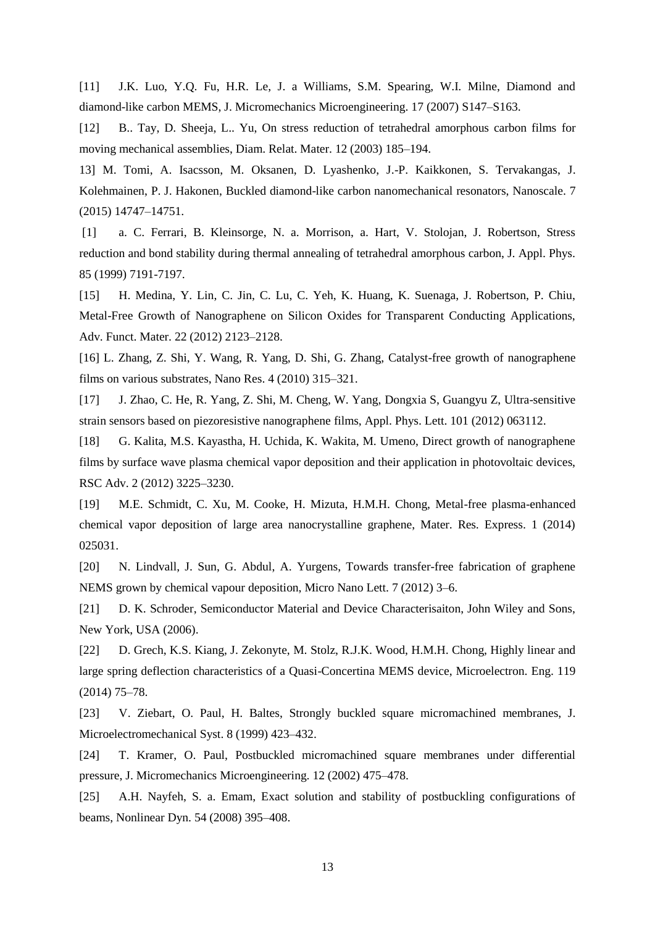[11] J.K. Luo, Y.Q. Fu, H.R. Le, J. a Williams, S.M. Spearing, W.I. Milne, Diamond and diamond-like carbon MEMS, J. Micromechanics Microengineering. 17 (2007) S147–S163.

[12] B.. Tay, D. Sheeja, L.. Yu, On stress reduction of tetrahedral amorphous carbon films for moving mechanical assemblies, Diam. Relat. Mater. 12 (2003) 185–194.

13] M. Tomi, A. Isacsson, M. Oksanen, D. Lyashenko, J.-P. Kaikkonen, S. Tervakangas, J. Kolehmainen, P. J. Hakonen, Buckled diamond-like carbon nanomechanical resonators, Nanoscale. 7 (2015) 14747–14751.

[1] a. C. Ferrari, B. Kleinsorge, N. a. Morrison, a. Hart, V. Stolojan, J. Robertson, Stress reduction and bond stability during thermal annealing of tetrahedral amorphous carbon, J. Appl. Phys. 85 (1999) 7191-7197.

[15] H. Medina, Y. Lin, C. Jin, C. Lu, C. Yeh, K. Huang, K. Suenaga, J. Robertson, P. Chiu, Metal-Free Growth of Nanographene on Silicon Oxides for Transparent Conducting Applications, Adv. Funct. Mater. 22 (2012) 2123–2128.

[16] L. Zhang, Z. Shi, Y. Wang, R. Yang, D. Shi, G. Zhang, Catalyst-free growth of nanographene films on various substrates, Nano Res. 4 (2010) 315–321.

[17] J. Zhao, C. He, R. Yang, Z. Shi, M. Cheng, W. Yang, Dongxia S, Guangyu Z, Ultra-sensitive strain sensors based on piezoresistive nanographene films, Appl. Phys. Lett. 101 (2012) 063112.

[18] G. Kalita, M.S. Kayastha, H. Uchida, K. Wakita, M. Umeno, Direct growth of nanographene films by surface wave plasma chemical vapor deposition and their application in photovoltaic devices, RSC Adv. 2 (2012) 3225–3230.

[19] M.E. Schmidt, C. Xu, M. Cooke, H. Mizuta, H.M.H. Chong, Metal-free plasma-enhanced chemical vapor deposition of large area nanocrystalline graphene, Mater. Res. Express. 1 (2014) 025031.

[20] N. Lindvall, J. Sun, G. Abdul, A. Yurgens, Towards transfer-free fabrication of graphene NEMS grown by chemical vapour deposition, Micro Nano Lett. 7 (2012) 3–6.

[21] D. K. Schroder, Semiconductor Material and Device Characterisaiton, John Wiley and Sons, New York, USA (2006).

[22] D. Grech, K.S. Kiang, J. Zekonyte, M. Stolz, R.J.K. Wood, H.M.H. Chong, Highly linear and large spring deflection characteristics of a Quasi-Concertina MEMS device, Microelectron. Eng. 119 (2014) 75–78.

[23] V. Ziebart, O. Paul, H. Baltes, Strongly buckled square micromachined membranes, J. Microelectromechanical Syst. 8 (1999) 423–432.

[24] T. Kramer, O. Paul, Postbuckled micromachined square membranes under differential pressure, J. Micromechanics Microengineering. 12 (2002) 475–478.

[25] A.H. Nayfeh, S. a. Emam, Exact solution and stability of postbuckling configurations of beams, Nonlinear Dyn. 54 (2008) 395–408.